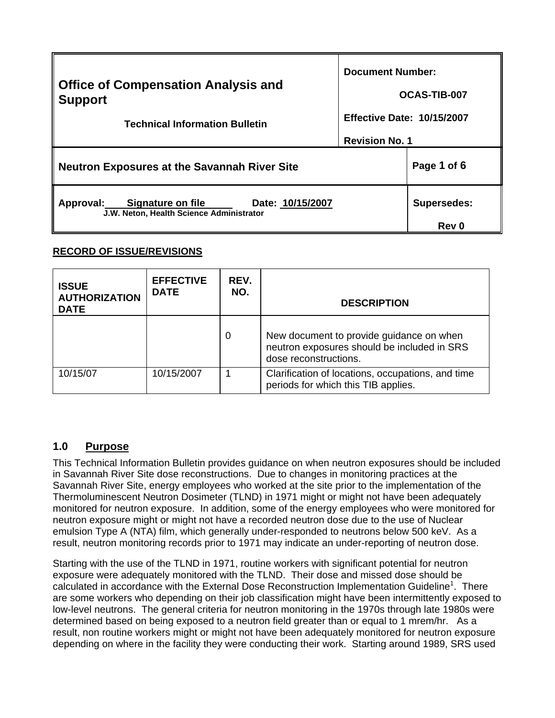| <b>Office of Compensation Analysis and</b><br><b>Support</b><br><b>Technical Information Bulletin</b> | <b>Document Number:</b>           |                             |
|-------------------------------------------------------------------------------------------------------|-----------------------------------|-----------------------------|
|                                                                                                       | OCAS-TIB-007                      |                             |
|                                                                                                       | <b>Effective Date: 10/15/2007</b> |                             |
|                                                                                                       | <b>Revision No. 1</b>             |                             |
| <b>Neutron Exposures at the Savannah River Site</b>                                                   |                                   | Page 1 of 6                 |
| Approval: Signature on file<br>Date: 10/15/2007<br>J.W. Neton, Health Science Administrator           |                                   | Supersedes:<br><b>Rev 0</b> |

# **RECORD OF ISSUE/REVISIONS**

| <b>ISSUE</b><br><b>AUTHORIZATION</b><br><b>DATE</b> | <b>EFFECTIVE</b><br><b>DATE</b> | REV.<br>NO. | <b>DESCRIPTION</b>                                                                                               |
|-----------------------------------------------------|---------------------------------|-------------|------------------------------------------------------------------------------------------------------------------|
|                                                     |                                 | 0           | New document to provide guidance on when<br>neutron exposures should be included in SRS<br>dose reconstructions. |
| 10/15/07                                            | 10/15/2007                      |             | Clarification of locations, occupations, and time<br>periods for which this TIB applies.                         |

# **1.0 Purpose**

This Technical Information Bulletin provides guidance on when neutron exposures should be included in Savannah River Site dose reconstructions. Due to changes in monitoring practices at the Savannah River Site, energy employees who worked at the site prior to the implementation of the Thermoluminescent Neutron Dosimeter (TLND) in 1971 might or might not have been adequately monitored for neutron exposure. In addition, some of the energy employees who were monitored for neutron exposure might or might not have a recorded neutron dose due to the use of Nuclear emulsion Type A (NTA) film, which generally under-responded to neutrons below 500 keV. As a result, neutron monitoring records prior to 1971 may indicate an under-reporting of neutron dose.

Starting with the use of the TLND in 1971, routine workers with significant potential for neutron exposure were adequately monitored with the TLND. Their dose and missed dose should be calculated in accordance with the External Dose Reconstruction Implementation Guideline<sup>1</sup>. There are some workers who depending on their job classification might have been intermittently exposed to low-level neutrons. The general criteria for neutron monitoring in the 1970s through late 1980s were determined based on being exposed to a neutron field greater than or equal to 1 mrem/hr. As a result, non routine workers might or might not have been adequately monitored for neutron exposure depending on where in the facility they were conducting their work. Starting around 1989, SRS used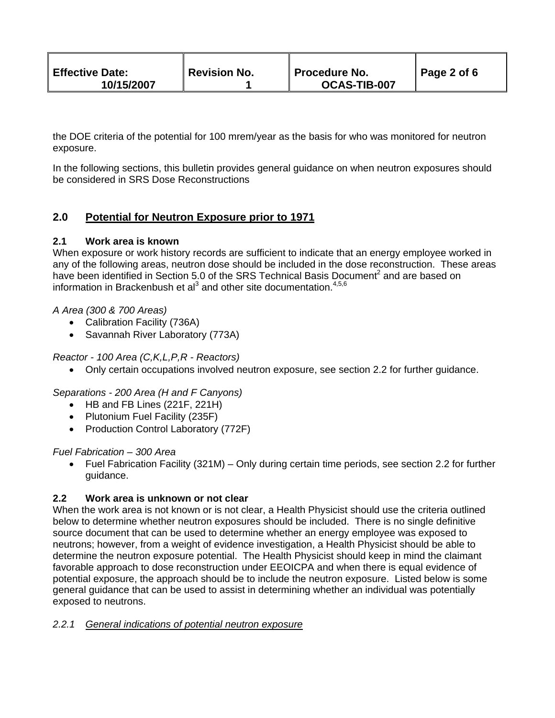| <b>Effective Date:</b><br>10/15/2007 | Revision No. | ∥ Procedure No.<br><b>OCAS-TIB-007</b> | $\parallel$ Page 2 of 6 |
|--------------------------------------|--------------|----------------------------------------|-------------------------|
|--------------------------------------|--------------|----------------------------------------|-------------------------|

the DOE criteria of the potential for 100 mrem/year as the basis for who was monitored for neutron exposure.

In the following sections, this bulletin provides general guidance on when neutron exposures should be considered in SRS Dose Reconstructions

# **2.0 Potential for Neutron Exposure prior to 1971**

# **2.1 Work area is known**

When exposure or work history records are sufficient to indicate that an energy employee worked in any of the following areas, neutron dose should be included in the dose reconstruction. These areas have been identified in Section 5.0 of the SRS Technical Basis Document<sup>2</sup> and are based on information in Brackenbush et al<sup>3</sup> and other site documentation.<sup>4,5,6</sup>

# *A Area (300 & 700 Areas)*

- Calibration Facility (736A)
- Savannah River Laboratory (773A)

*Reactor - 100 Area (C,K,L,P,R - Reactors)* 

• Only certain occupations involved neutron exposure, see section 2.2 for further guidance.

*Separations - 200 Area (H and F Canyons)* 

- HB and FB Lines (221F, 221H)
- Plutonium Fuel Facility (235F)
- Production Control Laboratory (772F)

### *Fuel Fabrication – 300 Area*

• Fuel Fabrication Facility (321M) – Only during certain time periods, see section 2.2 for further guidance.

# **2.2 Work area is unknown or not clear**

When the work area is not known or is not clear, a Health Physicist should use the criteria outlined below to determine whether neutron exposures should be included. There is no single definitive source document that can be used to determine whether an energy employee was exposed to neutrons; however, from a weight of evidence investigation, a Health Physicist should be able to determine the neutron exposure potential. The Health Physicist should keep in mind the claimant favorable approach to dose reconstruction under EEOICPA and when there is equal evidence of potential exposure, the approach should be to include the neutron exposure. Listed below is some general guidance that can be used to assist in determining whether an individual was potentially exposed to neutrons.

### *2.2.1 General indications of potential neutron exposure*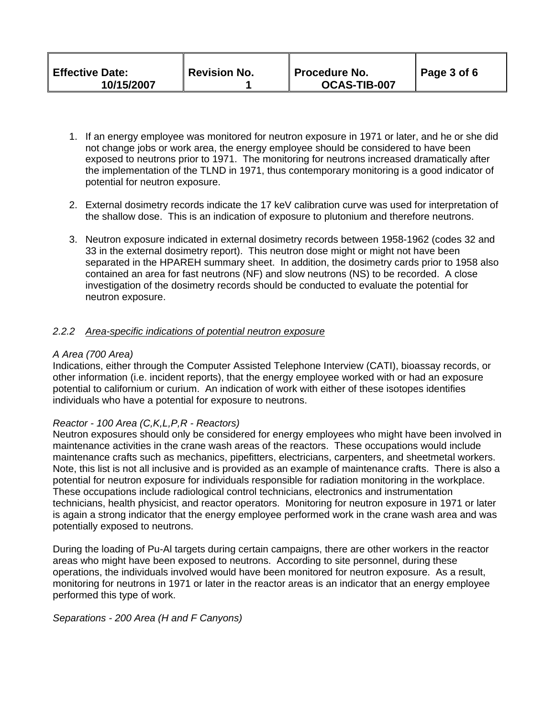| <b>Effective Date:</b><br>10/15/2007 | <b>Revision No.</b> | ∥ Procedure No.<br>OCAS-TIB-007 | Page 3 of 6 |
|--------------------------------------|---------------------|---------------------------------|-------------|
|--------------------------------------|---------------------|---------------------------------|-------------|

- 1. If an energy employee was monitored for neutron exposure in 1971 or later, and he or she did not change jobs or work area, the energy employee should be considered to have been exposed to neutrons prior to 1971. The monitoring for neutrons increased dramatically after the implementation of the TLND in 1971, thus contemporary monitoring is a good indicator of potential for neutron exposure.
- 2. External dosimetry records indicate the 17 keV calibration curve was used for interpretation of the shallow dose. This is an indication of exposure to plutonium and therefore neutrons.
- 3. Neutron exposure indicated in external dosimetry records between 1958-1962 (codes 32 and 33 in the external dosimetry report). This neutron dose might or might not have been separated in the HPAREH summary sheet. In addition, the dosimetry cards prior to 1958 also contained an area for fast neutrons (NF) and slow neutrons (NS) to be recorded. A close investigation of the dosimetry records should be conducted to evaluate the potential for neutron exposure.

### *2.2.2 Area-specific indications of potential neutron exposure*

#### *A Area (700 Area)*

Indications, either through the Computer Assisted Telephone Interview (CATI), bioassay records, or other information (i.e. incident reports), that the energy employee worked with or had an exposure potential to californium or curium. An indication of work with either of these isotopes identifies individuals who have a potential for exposure to neutrons.

### *Reactor - 100 Area (C,K,L,P,R - Reactors)*

Neutron exposures should only be considered for energy employees who might have been involved in maintenance activities in the crane wash areas of the reactors. These occupations would include maintenance crafts such as mechanics, pipefitters, electricians, carpenters, and sheetmetal workers. Note, this list is not all inclusive and is provided as an example of maintenance crafts. There is also a potential for neutron exposure for individuals responsible for radiation monitoring in the workplace. These occupations include radiological control technicians, electronics and instrumentation technicians, health physicist, and reactor operators. Monitoring for neutron exposure in 1971 or later is again a strong indicator that the energy employee performed work in the crane wash area and was potentially exposed to neutrons.

During the loading of Pu-Al targets during certain campaigns, there are other workers in the reactor areas who might have been exposed to neutrons. According to site personnel, during these operations, the individuals involved would have been monitored for neutron exposure. As a result, monitoring for neutrons in 1971 or later in the reactor areas is an indicator that an energy employee performed this type of work.

#### *Separations - 200 Area (H and F Canyons)*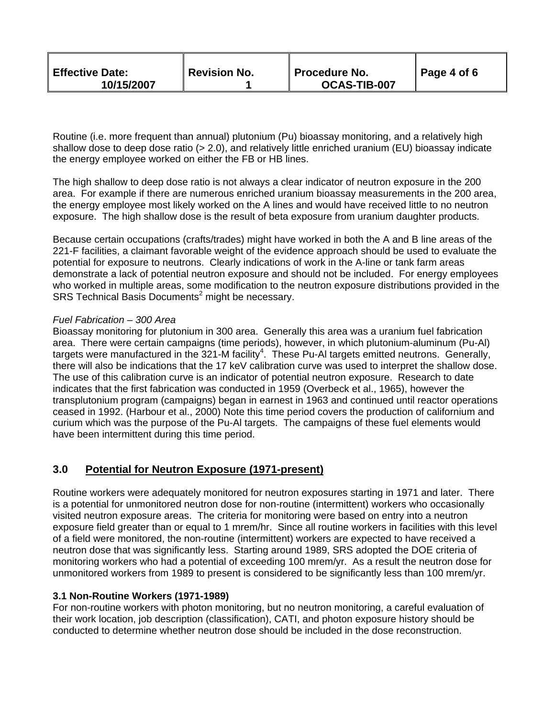| <b>Effective Date:</b><br>10/15/2007 | <sup><i>II</i></sup> Revision No. | Procedure No.<br>OCAS-TIB-007 | Page 4 of 6 |
|--------------------------------------|-----------------------------------|-------------------------------|-------------|
|--------------------------------------|-----------------------------------|-------------------------------|-------------|

Routine (i.e. more frequent than annual) plutonium (Pu) bioassay monitoring, and a relatively high shallow dose to deep dose ratio (> 2.0), and relatively little enriched uranium (EU) bioassay indicate the energy employee worked on either the FB or HB lines.

The high shallow to deep dose ratio is not always a clear indicator of neutron exposure in the 200 area. For example if there are numerous enriched uranium bioassay measurements in the 200 area, the energy employee most likely worked on the A lines and would have received little to no neutron exposure. The high shallow dose is the result of beta exposure from uranium daughter products.

Because certain occupations (crafts/trades) might have worked in both the A and B line areas of the 221-F facilities, a claimant favorable weight of the evidence approach should be used to evaluate the potential for exposure to neutrons. Clearly indications of work in the A-line or tank farm areas demonstrate a lack of potential neutron exposure and should not be included. For energy employees who worked in multiple areas, some modification to the neutron exposure distributions provided in the SRS Technical Basis Documents<sup>2</sup> might be necessary.

#### *Fuel Fabrication – 300 Area*

Bioassay monitoring for plutonium in 300 area. Generally this area was a uranium fuel fabrication area. There were certain campaigns (time periods), however, in which plutonium-aluminum (Pu-Al) targets were manufactured in the 321-M facility<sup>4</sup>. These Pu-AI targets emitted neutrons. Generally, there will also be indications that the 17 keV calibration curve was used to interpret the shallow dose. The use of this calibration curve is an indicator of potential neutron exposure. Research to date indicates that the first fabrication was conducted in 1959 (Overbeck et al., 1965), however the transplutonium program (campaigns) began in earnest in 1963 and continued until reactor operations ceased in 1992. (Harbour et al., 2000) Note this time period covers the production of californium and curium which was the purpose of the Pu-Al targets. The campaigns of these fuel elements would have been intermittent during this time period.

# **3.0 Potential for Neutron Exposure (1971-present)**

Routine workers were adequately monitored for neutron exposures starting in 1971 and later. There is a potential for unmonitored neutron dose for non-routine (intermittent) workers who occasionally visited neutron exposure areas. The criteria for monitoring were based on entry into a neutron exposure field greater than or equal to 1 mrem/hr. Since all routine workers in facilities with this level of a field were monitored, the non-routine (intermittent) workers are expected to have received a neutron dose that was significantly less. Starting around 1989, SRS adopted the DOE criteria of monitoring workers who had a potential of exceeding 100 mrem/yr. As a result the neutron dose for unmonitored workers from 1989 to present is considered to be significantly less than 100 mrem/yr.

### **3.1 Non-Routine Workers (1971-1989)**

For non-routine workers with photon monitoring, but no neutron monitoring, a careful evaluation of their work location, job description (classification), CATI, and photon exposure history should be conducted to determine whether neutron dose should be included in the dose reconstruction.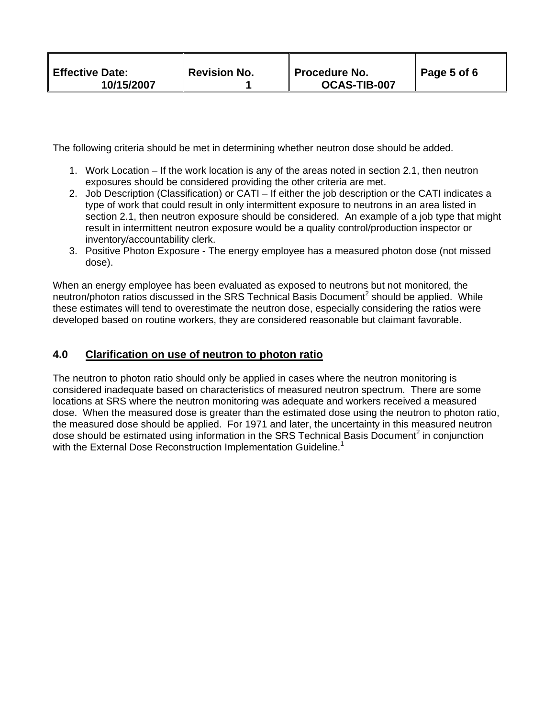| <b>Effective Date:</b><br>Revision No.<br><b>Procedure No.</b><br>10/15/2007<br>OCAS-TIB-007 | Page 5 of 6 |
|----------------------------------------------------------------------------------------------|-------------|
|----------------------------------------------------------------------------------------------|-------------|

The following criteria should be met in determining whether neutron dose should be added.

- 1. Work Location If the work location is any of the areas noted in section 2.1, then neutron exposures should be considered providing the other criteria are met.
- 2. Job Description (Classification) or CATI If either the job description or the CATI indicates a type of work that could result in only intermittent exposure to neutrons in an area listed in section 2.1, then neutron exposure should be considered. An example of a job type that might result in intermittent neutron exposure would be a quality control/production inspector or inventory/accountability clerk.
- 3. Positive Photon Exposure The energy employee has a measured photon dose (not missed dose).

When an energy employee has been evaluated as exposed to neutrons but not monitored, the neutron/photon ratios discussed in the SRS Technical Basis Document<sup>2</sup> should be applied. While these estimates will tend to overestimate the neutron dose, especially considering the ratios were developed based on routine workers, they are considered reasonable but claimant favorable.

# **4.0 Clarification on use of neutron to photon ratio**

The neutron to photon ratio should only be applied in cases where the neutron monitoring is considered inadequate based on characteristics of measured neutron spectrum. There are some locations at SRS where the neutron monitoring was adequate and workers received a measured dose. When the measured dose is greater than the estimated dose using the neutron to photon ratio, the measured dose should be applied. For 1971 and later, the uncertainty in this measured neutron dose should be estimated using information in the SRS Technical Basis Document<sup>2</sup> in conjunction with the External Dose Reconstruction Implementation Guideline.<sup>1</sup>